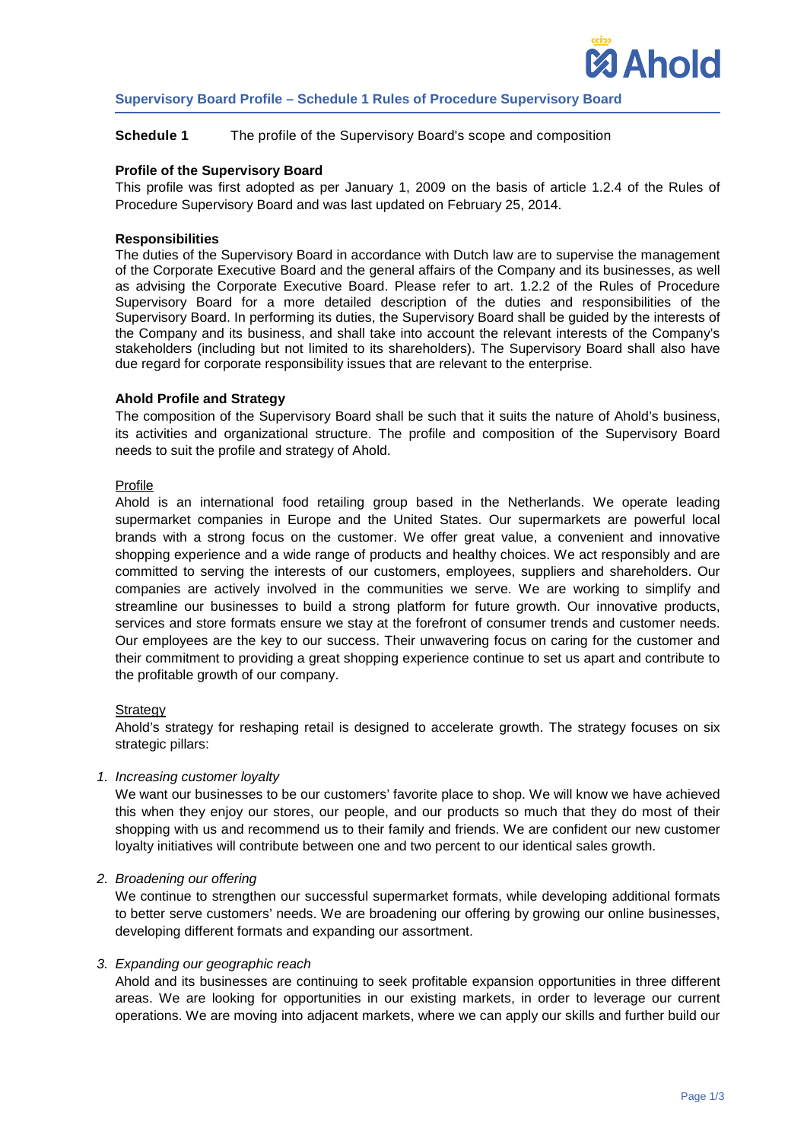

# **Supervisory Board Profile – Schedule 1 Rules of Procedure Supervisory Board**

## **Schedule 1** The profile of the Supervisory Board's scope and composition

## **Profile of the Supervisory Board**

This profile was first adopted as per January 1, 2009 on the basis of article 1.2.4 of the Rules of Procedure [Supervisory Board](http://www.ahold.com/page/645.aspx) and was last updated on February 25, 2014.

## **Responsibilities**

The duties of the Supervisory Board in accordance with Dutch law are to supervise the management of the Corporate Executive Board and the general affairs of the Company and its businesses, as well as advising the Corporate Executive Board. Please refer to art. 1.2.2 of the Rules of Procedure Supervisory Board for a more detailed description of the duties and responsibilities of the Supervisory Board. In performing its duties, the Supervisory Board shall be guided by the interests of the Company and its business, and shall take into account the relevant interests of the Company's stakeholders (including but not limited to its shareholders). The Supervisory Board shall also have due regard for corporate responsibility issues that are relevant to the enterprise.

## **Ahold Profile and Strategy**

The composition of the Supervisory Board shall be such that it suits the nature of Ahold's business, its activities and organizational structure. The profile and composition of the Supervisory Board needs to suit the profile and strategy of Ahold.

## Profile

Ahold is an international food retailing group based in the Netherlands. We operate leading supermarket companies in Europe and the United States. Our supermarkets are powerful local brands with a strong focus on the customer. We offer great value, a convenient and innovative shopping experience and a wide range of products and healthy choices. We act responsibly and are committed to serving the interests of our customers, employees, suppliers and shareholders. Our companies are actively involved in the communities we serve. We are working to simplify and streamline our businesses to build a strong platform for future growth. Our innovative products, services and store formats ensure we stay at the forefront of consumer trends and customer needs. Our employees are the key to our success. Their unwavering focus on caring for the customer and their commitment to providing a great shopping experience continue to set us apart and contribute to the profitable growth of our company.

## **Strategy**

Ahold's strategy for reshaping retail is designed to accelerate growth. The strategy focuses on six strategic pillars:

## *1. Increasing customer loyalty*

We want our businesses to be our customers' favorite place to shop. We will know we have achieved this when they enjoy our stores, our people, and our products so much that they do most of their shopping with us and recommend us to their family and friends. We are confident our new customer loyalty initiatives will contribute between one and two percent to our identical sales growth.

## *2. Broadening our offering*

We continue to strengthen our successful supermarket formats, while developing additional formats to better serve customers' needs. We are broadening our offering by growing our online businesses, developing different formats and expanding our assortment.

## *3. Expanding our geographic reach*

Ahold and its businesses are continuing to seek profitable expansion opportunities in three different areas. We are looking for opportunities in our existing markets, in order to leverage our current operations. We are moving into adjacent markets, where we can apply our skills and further build our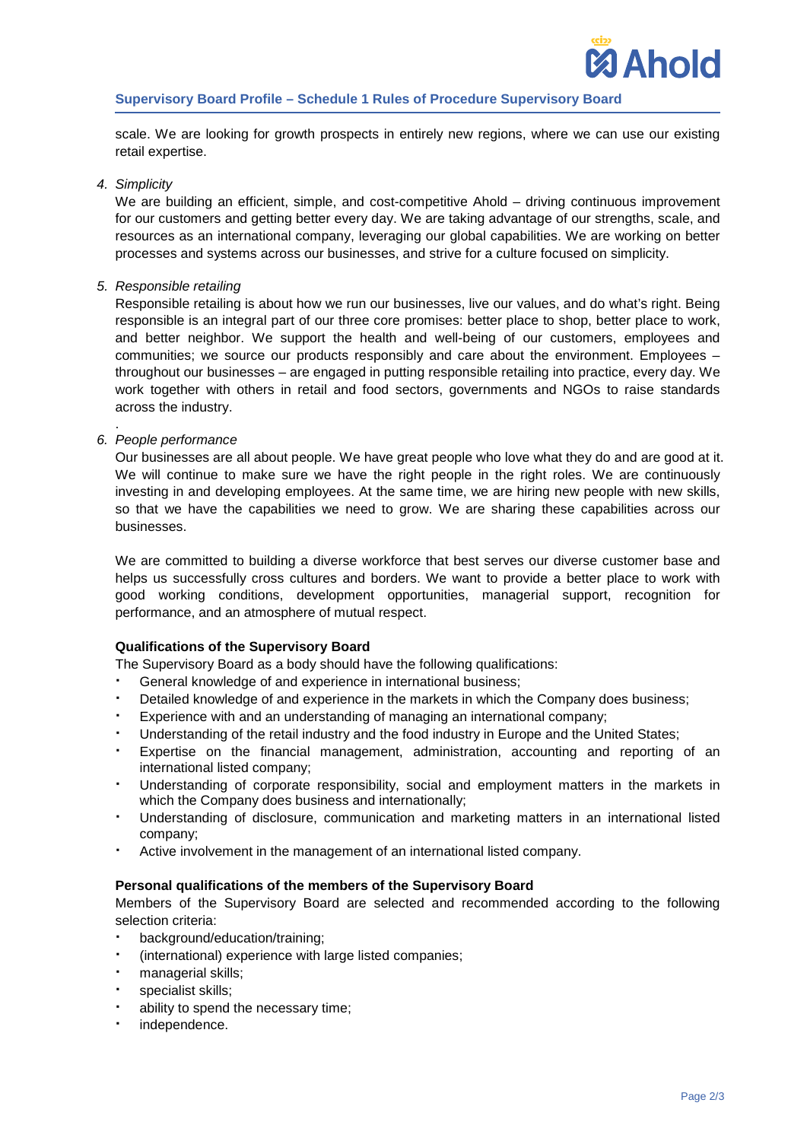scale. We are looking for growth prospects in entirely new regions, where we can use our existing retail expertise.

## *4. Simplicity*

We are building an efficient, simple, and cost-competitive Ahold – driving continuous improvement for our customers and getting better every day. We are taking advantage of our strengths, scale, and resources as an international company, leveraging our global capabilities. We are working on better processes and systems across our businesses, and strive for a culture focused on simplicity.

## *5. Responsible retailing*

Responsible retailing is about how we run our businesses, live our values, and do what's right. Being responsible is an integral part of our three core promises: better place to shop, better place to work, and better neighbor. We support the health and well-being of our customers, employees and communities; we source our products responsibly and care about the environment. Employees – throughout our businesses – are engaged in putting responsible retailing into practice, every day. We work together with others in retail and food sectors, governments and NGOs to raise standards across the industry.

#### . *6. People performance*

Our businesses are all about people. We have great people who love what they do and are good at it. We will continue to make sure we have the right people in the right roles. We are continuously investing in and developing employees. At the same time, we are hiring new people with new skills, so that we have the capabilities we need to grow. We are sharing these capabilities across our businesses.

We are committed to building a diverse workforce that best serves our diverse customer base and helps us successfully cross cultures and borders. We want to provide a better place to work with good working conditions, development opportunities, managerial support, recognition for performance, and an atmosphere of mutual respect.

# **Qualifications of the Supervisory Board**

The Supervisory Board as a body should have the following qualifications:

- General knowledge of and experience in international business;
- Detailed knowledge of and experience in the markets in which the Company does business;
- Experience with and an understanding of managing an international company;
- Understanding of the retail industry and the food industry in Europe and the United States;
- Expertise on the financial management, administration, accounting and reporting of an international listed company;
- Understanding of corporate responsibility, social and employment matters in the markets in which the Company does business and internationally;
- Understanding of disclosure, communication and marketing matters in an international listed company;
- Active involvement in the management of an international listed company.

## **Personal qualifications of the members of the Supervisory Board**

Members of the Supervisory Board are selected and recommended according to the following selection criteria:

- background/education/training;
- (international) experience with large listed companies;
- managerial skills;
- specialist skills;
- ability to spend the necessary time;
- independence.

**Ahold**